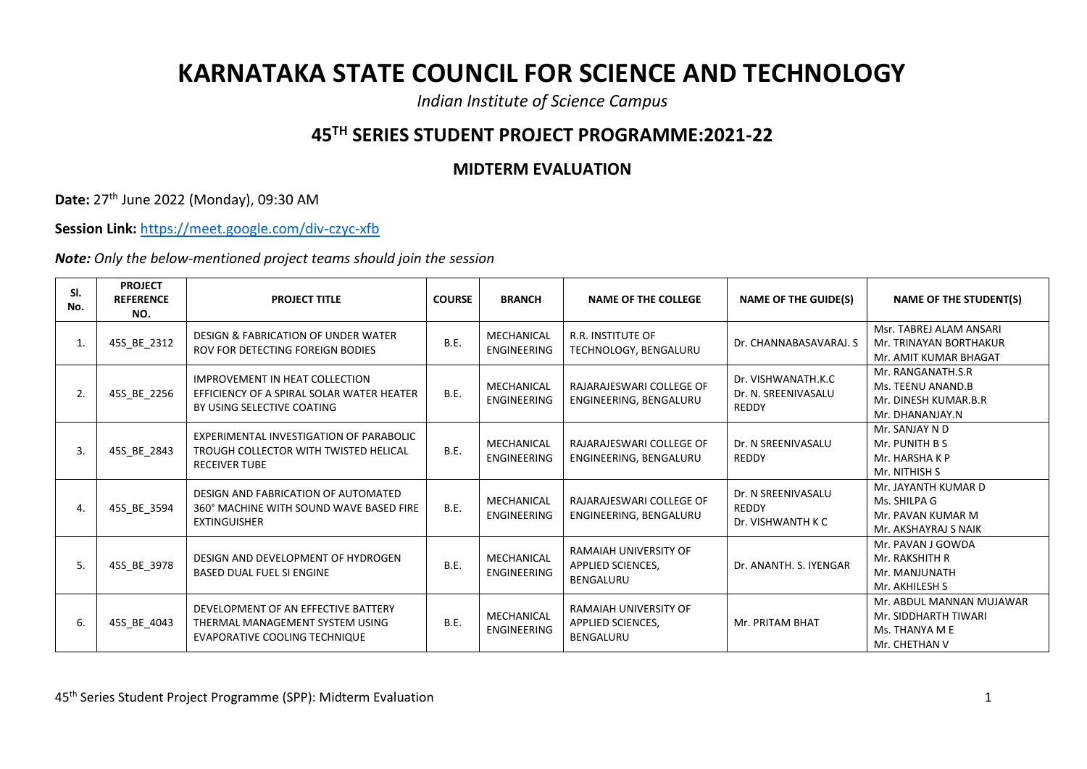## **KARNATAKA STATE COUNCIL FOR SCIENCE AND TECHNOLOGY**

*Indian Institute of Science Campus*

## **45TH SERIES STUDENT PROJECT PROGRAMME:2021-22**

## **MIDTERM EVALUATION**

**Date:** 27th June 2022 (Monday), 09:30 AM

**Session Link:** <https://meet.google.com/div-czyc-xfb>

*Note: Only the below-mentioned project teams should join the session*

| SI.<br>No. | <b>PROJECT</b><br><b>REFERENCE</b><br>NO. | <b>PROJECT TITLE</b>                                                                                             | <b>COURSE</b> | <b>BRANCH</b>                    | <b>NAME OF THE COLLEGE</b>                                     | <b>NAME OF THE GUIDE(S)</b>                             | <b>NAME OF THE STUDENT(S)</b>                                                       |
|------------|-------------------------------------------|------------------------------------------------------------------------------------------------------------------|---------------|----------------------------------|----------------------------------------------------------------|---------------------------------------------------------|-------------------------------------------------------------------------------------|
|            | 45S_BE_2312                               | DESIGN & FABRICATION OF UNDER WATER<br>ROV FOR DETECTING FOREIGN BODIES                                          | B.E.          | MECHANICAL<br><b>ENGINEERING</b> | <b>R.R. INSTITUTE OF</b><br>TECHNOLOGY, BENGALURU              | Dr. CHANNABASAVARAJ. S                                  | Msr. TABREJ ALAM ANSARI<br>Mr. TRINAYAN BORTHAKUR<br>Mr. AMIT KUMAR BHAGAT          |
| 2.         | 45S_BE_2256                               | <b>IMPROVEMENT IN HEAT COLLECTION</b><br>EFFICIENCY OF A SPIRAL SOLAR WATER HEATER<br>BY USING SELECTIVE COATING | <b>B.E.</b>   | MECHANICAL<br>ENGINEERING        | RAJARAJESWARI COLLEGE OF<br>ENGINEERING, BENGALURU             | Dr. VISHWANATH.K.C<br>Dr. N. SREENIVASALU<br>REDDY      | Mr. RANGANATH.S.R<br>Ms. TEENU ANAND.B<br>Mr. DINESH KUMAR.B.R<br>Mr. DHANANJAY.N   |
| 3.         | 45S_BE_2843                               | EXPERIMENTAL INVESTIGATION OF PARABOLIC<br>TROUGH COLLECTOR WITH TWISTED HELICAL<br><b>RECEIVER TUBE</b>         | <b>B.E.</b>   | MECHANICAL<br><b>ENGINEERING</b> | RAJARAJESWARI COLLEGE OF<br>ENGINEERING, BENGALURU             | Dr. N SREENIVASALU<br>REDDY                             | Mr. SANJAY N D<br>Mr. PUNITH B S<br>Mr. HARSHA K P<br>Mr. NITHISH S                 |
|            | 45S BE 3594                               | DESIGN AND FABRICATION OF AUTOMATED<br>360° MACHINE WITH SOUND WAVE BASED FIRE<br><b>EXTINGUISHER</b>            | <b>B.E.</b>   | MECHANICAL<br><b>ENGINEERING</b> | RAJARAJESWARI COLLEGE OF<br>ENGINEERING, BENGALURU             | Dr. N SREENIVASALU<br><b>REDDY</b><br>Dr. VISHWANTH K C | Mr. JAYANTH KUMAR D<br>Ms. SHILPA G<br>Mr. PAVAN KUMAR M<br>Mr. AKSHAYRAJ S NAIK    |
| 5.         | 45S_BE_3978                               | DESIGN AND DEVELOPMENT OF HYDROGEN<br><b>BASED DUAL FUEL SI ENGINE</b>                                           | <b>B.E.</b>   | MECHANICAL<br><b>ENGINEERING</b> | RAMAIAH UNIVERSITY OF<br>APPLIED SCIENCES,<br><b>BENGALURU</b> | Dr. ANANTH. S. IYENGAR                                  | Mr. PAVAN J GOWDA<br>Mr. RAKSHITH R<br>Mr. MANJUNATH<br>Mr. AKHILESH S              |
| 6.         | 45S BE 4043                               | DEVELOPMENT OF AN EFFECTIVE BATTERY<br>THERMAL MANAGEMENT SYSTEM USING<br>EVAPORATIVE COOLING TECHNIQUE          | <b>B.E.</b>   | MECHANICAL<br><b>ENGINEERING</b> | RAMAIAH UNIVERSITY OF<br>APPLIED SCIENCES,<br><b>BENGALURU</b> | Mr. PRITAM BHAT                                         | Mr. ABDUL MANNAN MUJAWAR<br>Mr. SIDDHARTH TIWARI<br>Ms. THANYA M E<br>Mr. CHETHAN V |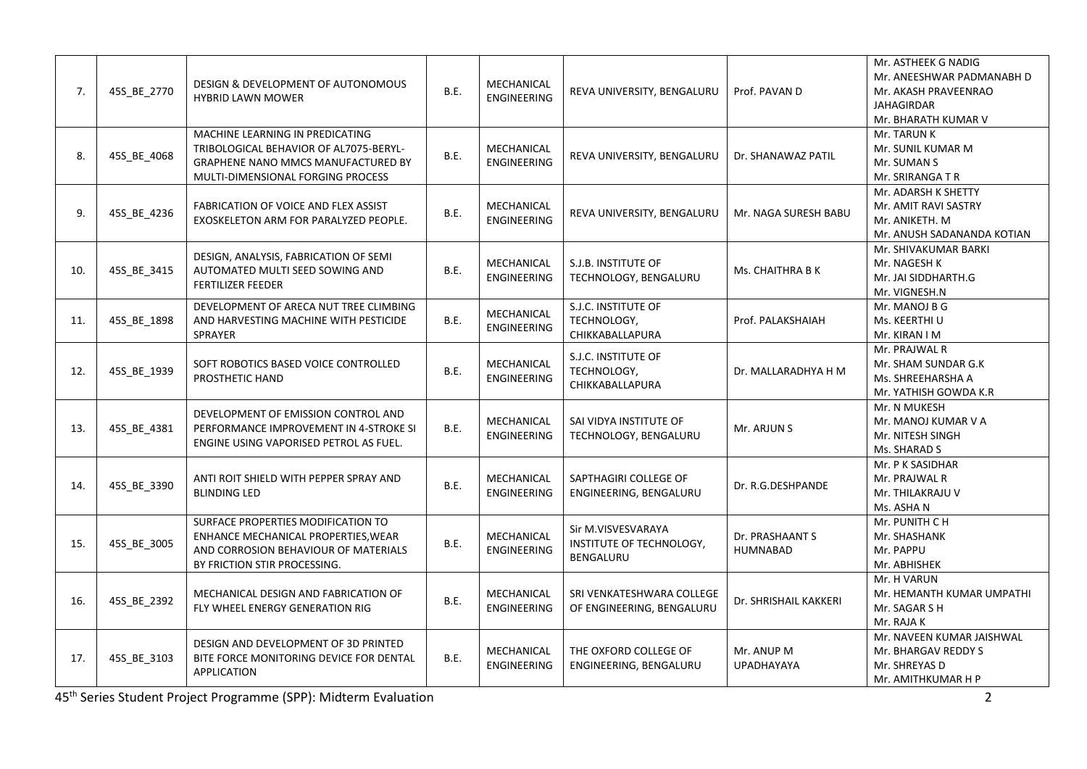| 7.  | 45S_BE_2770 | DESIGN & DEVELOPMENT OF AUTONOMOUS<br><b>HYBRID LAWN MOWER</b>                                                                                       | B.E. | MECHANICAL<br><b>ENGINEERING</b> | REVA UNIVERSITY, BENGALURU                                  | Prof. PAVAN D                      | Mr. ASTHEEK G NADIG<br>Mr. ANEESHWAR PADMANABH D<br>Mr. AKASH PRAVEENRAO<br><b>JAHAGIRDAR</b><br>Mr. BHARATH KUMAR V |
|-----|-------------|------------------------------------------------------------------------------------------------------------------------------------------------------|------|----------------------------------|-------------------------------------------------------------|------------------------------------|----------------------------------------------------------------------------------------------------------------------|
| 8.  | 45S_BE_4068 | MACHINE LEARNING IN PREDICATING<br>TRIBOLOGICAL BEHAVIOR OF AL7075-BERYL-<br>GRAPHENE NANO MMCS MANUFACTURED BY<br>MULTI-DIMENSIONAL FORGING PROCESS | B.E. | MECHANICAL<br><b>ENGINEERING</b> | REVA UNIVERSITY, BENGALURU                                  | Dr. SHANAWAZ PATIL                 | Mr. TARUN K<br>Mr. SUNIL KUMAR M<br>Mr. SUMAN S<br>Mr. SRIRANGA T R                                                  |
| 9.  | 45S_BE_4236 | FABRICATION OF VOICE AND FLEX ASSIST<br>EXOSKELETON ARM FOR PARALYZED PEOPLE.                                                                        | B.E. | MECHANICAL<br><b>ENGINEERING</b> | REVA UNIVERSITY, BENGALURU                                  | Mr. NAGA SURESH BABU               | Mr. ADARSH K SHETTY<br>Mr. AMIT RAVI SASTRY<br>Mr. ANIKETH. M<br>Mr. ANUSH SADANANDA KOTIAN                          |
| 10. | 45S_BE_3415 | DESIGN, ANALYSIS, FABRICATION OF SEMI<br>AUTOMATED MULTI SEED SOWING AND<br><b>FERTILIZER FEEDER</b>                                                 | B.E. | MECHANICAL<br>ENGINEERING        | S.J.B. INSTITUTE OF<br>TECHNOLOGY, BENGALURU                | Ms. CHAITHRA B K                   | Mr. SHIVAKUMAR BARKI<br>Mr. NAGESH K<br>Mr. JAI SIDDHARTH.G<br>Mr. VIGNESH.N                                         |
| 11. | 45S_BE_1898 | DEVELOPMENT OF ARECA NUT TREE CLIMBING<br>AND HARVESTING MACHINE WITH PESTICIDE<br><b>SPRAYER</b>                                                    | B.E. | MECHANICAL<br><b>ENGINEERING</b> | S.J.C. INSTITUTE OF<br>TECHNOLOGY,<br>CHIKKABALLAPURA       | Prof. PALAKSHAIAH                  | Mr. MANOJ B G<br>Ms. KEERTHI U<br>Mr. KIRAN I M                                                                      |
| 12. | 45S_BE_1939 | SOFT ROBOTICS BASED VOICE CONTROLLED<br><b>PROSTHETIC HAND</b>                                                                                       | B.E. | MECHANICAL<br><b>ENGINEERING</b> | S.J.C. INSTITUTE OF<br>TECHNOLOGY,<br>CHIKKABALLAPURA       | Dr. MALLARADHYA H M                | Mr. PRAJWAL R<br>Mr. SHAM SUNDAR G.K<br>Ms. SHREEHARSHA A<br>Mr. YATHISH GOWDA K.R                                   |
| 13. | 45S_BE_4381 | DEVELOPMENT OF EMISSION CONTROL AND<br>PERFORMANCE IMPROVEMENT IN 4-STROKE SI<br>ENGINE USING VAPORISED PETROL AS FUEL.                              | B.E. | MECHANICAL<br><b>ENGINEERING</b> | SAI VIDYA INSTITUTE OF<br>TECHNOLOGY, BENGALURU             | Mr. ARJUN S                        | Mr. N MUKESH<br>Mr. MANOJ KUMAR V A<br>Mr. NITESH SINGH<br>Ms. SHARAD S                                              |
| 14. | 45S_BE_3390 | ANTI ROIT SHIELD WITH PEPPER SPRAY AND<br><b>BLINDING LED</b>                                                                                        | B.E. | MECHANICAL<br><b>ENGINEERING</b> | SAPTHAGIRI COLLEGE OF<br>ENGINEERING, BENGALURU             | Dr. R.G.DESHPANDE                  | Mr. P K SASIDHAR<br>Mr. PRAJWAL R<br>Mr. THILAKRAJU V<br>Ms. ASHA N                                                  |
| 15. | 45S_BE_3005 | SURFACE PROPERTIES MODIFICATION TO<br>ENHANCE MECHANICAL PROPERTIES, WEAR<br>AND CORROSION BEHAVIOUR OF MATERIALS<br>BY FRICTION STIR PROCESSING.    | B.E. | MECHANICAL<br><b>ENGINEERING</b> | Sir M.VISVESVARAYA<br>INSTITUTE OF TECHNOLOGY,<br>BENGALURU | Dr. PRASHAANT S<br><b>HUMNABAD</b> | Mr. PUNITH CH<br>Mr. SHASHANK<br>Mr. PAPPU<br>Mr. ABHISHEK                                                           |
| 16. | 45S_BE_2392 | MECHANICAL DESIGN AND FABRICATION OF<br>FLY WHEEL ENERGY GENERATION RIG                                                                              | B.E. | MECHANICAL<br><b>ENGINEERING</b> | SRI VENKATESHWARA COLLEGE<br>OF ENGINEERING, BENGALURU      | Dr. SHRISHAIL KAKKERI              | Mr. H VARUN<br>Mr. HEMANTH KUMAR UMPATHI<br>Mr. SAGAR S H<br>Mr. RAJA K                                              |
| 17. | 45S_BE_3103 | DESIGN AND DEVELOPMENT OF 3D PRINTED<br>BITE FORCE MONITORING DEVICE FOR DENTAL<br><b>APPLICATION</b>                                                | B.E. | MECHANICAL<br><b>ENGINEERING</b> | THE OXFORD COLLEGE OF<br>ENGINEERING, BENGALURU             | Mr. ANUP M<br><b>UPADHAYAYA</b>    | Mr. NAVEEN KUMAR JAISHWAL<br>Mr. BHARGAV REDDY S<br>Mr. SHREYAS D<br>Mr. AMITHKUMAR H P                              |

45th Series Student Project Programme (SPP): Midterm Evaluation 2